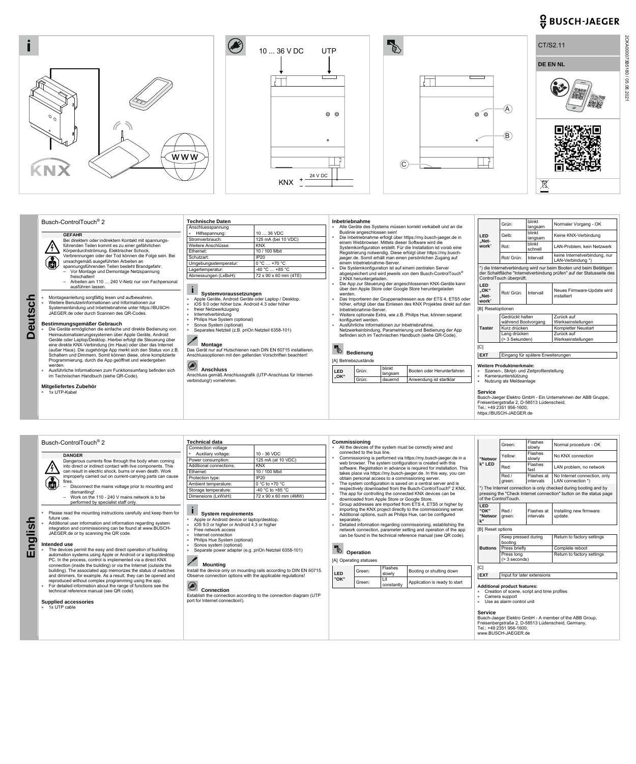





2CKA000073B5180 / 05.08.2021

2CKA000073B5180 / 05.08.2021

## $\frac{O}{V}$  BUSCH-JAEGER



**Deutsch** 

**Deutsch** 

| Busch-ControlTouch <sup>®</sup> 2                                                                                                                                                                                                                          | <b>Technische Daten</b>                                                                                                                                                                                          |                                                                                                                           |                                                             | Inbetriebnahme                                                                                                                                                                                                                                                                                                            |                                                               |                                                                   | blinkt<br>Grün:                                                                                                               |                                                                                                                                           | Normaler Vorgang - OK         |                                                             |
|------------------------------------------------------------------------------------------------------------------------------------------------------------------------------------------------------------------------------------------------------------|------------------------------------------------------------------------------------------------------------------------------------------------------------------------------------------------------------------|---------------------------------------------------------------------------------------------------------------------------|-------------------------------------------------------------|---------------------------------------------------------------------------------------------------------------------------------------------------------------------------------------------------------------------------------------------------------------------------------------------------------------------------|---------------------------------------------------------------|-------------------------------------------------------------------|-------------------------------------------------------------------------------------------------------------------------------|-------------------------------------------------------------------------------------------------------------------------------------------|-------------------------------|-------------------------------------------------------------|
|                                                                                                                                                                                                                                                            | Anschlussspannung                                                                                                                                                                                                |                                                                                                                           | Alle Geräte des Systems müssen korrekt verkabelt und an die |                                                                                                                                                                                                                                                                                                                           |                                                               | langsam                                                           |                                                                                                                               |                                                                                                                                           |                               |                                                             |
| <b>GEFAHR</b>                                                                                                                                                                                                                                              | Hilfsspannung:<br>Stromverbrauch:                                                                                                                                                                                | 10  36 VDC                                                                                                                |                                                             | Buslinie angeschlossen sein!<br>Die Inbetriebnahme erfolgt über https://my.busch-jaeger.de in                                                                                                                                                                                                                             | <b>LED</b>                                                    | Gelb:                                                             | blinkt<br>langsam                                                                                                             | Keine KNX-Verbindung                                                                                                                      |                               |                                                             |
| Bei direktem oder indirektem Kontakt mit spannungs-                                                                                                                                                                                                        |                                                                                                                                                                                                                  | 125 mA (bei 10 VDC)                                                                                                       |                                                             |                                                                                                                                                                                                                                                                                                                           |                                                               | einem Webbrowser. Mittels dieser Software wird die                | "Net-                                                                                                                         |                                                                                                                                           | blinkt                        |                                                             |
| führenden Teilen kommt es zu einer gefährlichen<br>$\frac{1}{4}$<br>Körperdurchströmung. Elektrischer Schock,                                                                                                                                              | Weitere Anschlüsse:                                                                                                                                                                                              | <b>KNX</b>                                                                                                                |                                                             |                                                                                                                                                                                                                                                                                                                           |                                                               | Systemkonfiguration erstellt. Für die Installation ist vorab eine | work"                                                                                                                         | Rot:                                                                                                                                      | schnell                       | LAN-Problem, kein Netzwerk                                  |
| Verbrennungen oder der Tod können die Folge sein. Bei                                                                                                                                                                                                      | Ethernet:                                                                                                                                                                                                        | 10 / 100 Mbit                                                                                                             |                                                             |                                                                                                                                                                                                                                                                                                                           | Registrierung notwendig. Diese erfolgt über https://my.busch- |                                                                   |                                                                                                                               |                                                                                                                                           | keine Internetverbindung, nur |                                                             |
| unsachgemäß ausgeführten Arbeiten an                                                                                                                                                                                                                       | Schutzart:                                                                                                                                                                                                       | <b>IP20</b>                                                                                                               |                                                             |                                                                                                                                                                                                                                                                                                                           |                                                               | jaeger.de. Somit erhält man einen persönlichen Zugang auf         |                                                                                                                               | Rot/ Grün:                                                                                                                                | Intervall                     | LAN-Verbindung *)                                           |
| $\bf \widehat{\bm{a}}$<br>spannungsführenden Teilen besteht Brandgefahr.                                                                                                                                                                                   | Umgebungsstemperatur:                                                                                                                                                                                            | $0 °C  +70 °C$                                                                                                            |                                                             | einem Inbetriebnahme-Server.<br>Die Systemkonfiguration ist auf einem zentralen Server                                                                                                                                                                                                                                    |                                                               |                                                                   |                                                                                                                               |                                                                                                                                           |                               |                                                             |
| Vor Montage und Demontage Netzspannung                                                                                                                                                                                                                     | Lagertemperatur:                                                                                                                                                                                                 | $-40 °C  +85 °C$                                                                                                          |                                                             |                                                                                                                                                                                                                                                                                                                           |                                                               |                                                                   |                                                                                                                               | *) die Internetverbindung wird nur beim Booten und beim Betätigen<br>der Schaltfläche "Internetverbindung prüfen" auf der Statusseite des |                               |                                                             |
| freischalten!                                                                                                                                                                                                                                              | Abmessungen (LxBxH):                                                                                                                                                                                             | abgespeichert und wird jeweils von dem Busch-ControlTouch <sup>®</sup><br>72 x 90 x 60 mm (4TE)<br>2 KNX heruntergeladen. |                                                             |                                                                                                                                                                                                                                                                                                                           |                                                               |                                                                   |                                                                                                                               | ControlTouch überprüft.                                                                                                                   |                               |                                                             |
| - Arbeiten am 110  240 V-Netz nur von Fachpersonal                                                                                                                                                                                                         |                                                                                                                                                                                                                  |                                                                                                                           |                                                             |                                                                                                                                                                                                                                                                                                                           |                                                               | Die App zur Steuerung der angeschlossenen KNX-Geräte kann         |                                                                                                                               |                                                                                                                                           |                               |                                                             |
| ausführen lassen.<br>Montageanleitung sorgfältig lesen und aufbewahren.<br>Weitere Benutzerinformationen und Informationen zur                                                                                                                             | Systemvoraussetzungen<br>Apple Geräte, Android Geräte oder Laptop / Desktop.<br>iOS 9.0 oder höher bzw. Android 4.3 oder höher<br>■ freier Netzwerkzugang<br>Internetverbindung<br>Philips Hue System (optional) |                                                                                                                           |                                                             | über den Apple Store oder Google Store heruntergeladen<br>werden.<br>Das Importieren der Gruppenadressen aus der ETS 4, ETS5 oder<br>höher, erfolgt über das Einlesen des KNX Projektes direkt auf den<br>Inbetriebnahme-Server.<br>Weitere optionale Extra, wie z.B. Philips Hue, können separat<br>konfiguriert werden. |                                                               |                                                                   | <b>LED</b><br>"OK'<br>"Net-<br>work"                                                                                          | Rot/ Grün:                                                                                                                                | Intervall                     | Neues Firmware-Update wird<br>installiert                   |
| Systemeinbindung und Inbetriebnahme unter https://BUSCH-                                                                                                                                                                                                   |                                                                                                                                                                                                                  |                                                                                                                           |                                                             |                                                                                                                                                                                                                                                                                                                           |                                                               |                                                                   | [B] Resetoptionen                                                                                                             |                                                                                                                                           |                               |                                                             |
| JAEGER.de oder durch Scannen des QR-Codes.                                                                                                                                                                                                                 |                                                                                                                                                                                                                  |                                                                                                                           |                                                             |                                                                                                                                                                                                                                                                                                                           |                                                               |                                                                   |                                                                                                                               |                                                                                                                                           |                               |                                                             |
|                                                                                                                                                                                                                                                            |                                                                                                                                                                                                                  |                                                                                                                           |                                                             |                                                                                                                                                                                                                                                                                                                           |                                                               |                                                                   |                                                                                                                               | Gedrückt halten                                                                                                                           |                               | Zurück auf<br>Werkseinstellungen                            |
| Bestimmungsgemäßer Gebrauch<br>Sonos System (optional)                                                                                                                                                                                                     |                                                                                                                                                                                                                  |                                                                                                                           | Ausführliche Informationen zur Inbetriebnahme.              |                                                                                                                                                                                                                                                                                                                           |                                                               | <b>Taster</b>                                                     | während Bootvorgang<br>Kurz drücken                                                                                           |                                                                                                                                           |                               |                                                             |
| Die Geräte ermöglichen die einfache und direkte Bedienung von<br>Heimautomatisierungssystemen über Apple Geräte, Android<br>Geräte oder Laptop/Desktop. Hierbei erfolgt die Steuerung über<br>eine direkte KNX-Verbindung (im Haus) oder über das Internet | Separates Netzteil (z.B. priOn Netzteil 6358-101)<br><b>Montage</b><br>Das Gerät nur auf Hutschienen nach DIN EN 60715 installieren.<br>Anschlussoptionen mit den geltenden Vorschriften beachten!               |                                                                                                                           |                                                             | Netzwerkeinbindung, Parametrierung und Bedienung der App<br>befinden sich im Technischen Handbuch (siehe QR-Code).<br>Red<br><b>Bedienung</b><br>[A] Betriebszustände                                                                                                                                                     |                                                               |                                                                   |                                                                                                                               |                                                                                                                                           |                               | Kompletter Neustart                                         |
|                                                                                                                                                                                                                                                            |                                                                                                                                                                                                                  |                                                                                                                           |                                                             |                                                                                                                                                                                                                                                                                                                           |                                                               |                                                                   |                                                                                                                               | Lang drücken<br>(> 3 Sekunden)                                                                                                            |                               | Zurück auf<br>Werkseinstellungen                            |
|                                                                                                                                                                                                                                                            |                                                                                                                                                                                                                  |                                                                                                                           |                                                             |                                                                                                                                                                                                                                                                                                                           |                                                               |                                                                   | [C]                                                                                                                           |                                                                                                                                           |                               |                                                             |
| (außer Haus). Die zugehörige App merkt sich den Status von z.B.                                                                                                                                                                                            |                                                                                                                                                                                                                  |                                                                                                                           |                                                             |                                                                                                                                                                                                                                                                                                                           |                                                               |                                                                   | <b>EXT</b>                                                                                                                    | Eingang für spätere Erweiterungen                                                                                                         |                               |                                                             |
| Schaltern und Dimmern. Somit können diese, ohne komplizierte<br>Programmierung, durch die App geöffnet und wiedergeben                                                                                                                                     |                                                                                                                                                                                                                  |                                                                                                                           |                                                             |                                                                                                                                                                                                                                                                                                                           |                                                               |                                                                   |                                                                                                                               |                                                                                                                                           |                               |                                                             |
| werden.<br>Ausführliche Informationen zum Funktionsumfang befinden sich<br>im Technischen Handbuch (siehe QR-Code).                                                                                                                                        | $\bigcirc$<br><b>Anschluss</b><br>verbindung!) vornehmen.                                                                                                                                                        | Anschluss gemäß Anschlussgrafik (UTP-Anschluss für Internet-                                                              |                                                             | Grün:<br>LED<br>"OK"<br>Grün:                                                                                                                                                                                                                                                                                             | blinkt<br>langsam<br>dauernd                                  | Booten oder Herunterfahren<br>Anwendung ist startklar             | Weitere Produktmerkmale:<br>Szenen-, Skript- und Zeitprofilerstellung<br>Kameraunterstützung<br>m.<br>Nutzung als Meldeanlage |                                                                                                                                           |                               |                                                             |
| Mitgeliefertes Zubehör                                                                                                                                                                                                                                     |                                                                                                                                                                                                                  |                                                                                                                           |                                                             |                                                                                                                                                                                                                                                                                                                           |                                                               |                                                                   |                                                                                                                               |                                                                                                                                           |                               |                                                             |
| ■ 1x UTP-Kabel                                                                                                                                                                                                                                             |                                                                                                                                                                                                                  |                                                                                                                           |                                                             |                                                                                                                                                                                                                                                                                                                           |                                                               |                                                                   | <b>Service</b>                                                                                                                | Freisenbergstraße 2, D-58513 Lüdenscheid                                                                                                  |                               | Busch-Jaeger Elektro GmbH - Ein Unternehmen der ABB Gruppe, |

Tel.: +49 2351 956-1600; https://BUSCH-JAEGER.de



| reproduced without complex programming using the app.<br>For detailed information about the range of functions see the<br>technical reference manual (see QR code).<br><b>Supplied accessories</b> | $\bigcirc$<br><b>Connection</b><br>Establish the connection according to the connection diagram (UTP<br>port for Internet connection!). | "OK" | Green: | constantly | Application is ready to start | <b>Additional product features:</b><br>Creation of scene, script and time profiles<br>Camera support<br>Use as alarm control unit                                                 |  |  |  |  |
|----------------------------------------------------------------------------------------------------------------------------------------------------------------------------------------------------|-----------------------------------------------------------------------------------------------------------------------------------------|------|--------|------------|-------------------------------|-----------------------------------------------------------------------------------------------------------------------------------------------------------------------------------|--|--|--|--|
| $\blacksquare$ 1x UTP cable                                                                                                                                                                        |                                                                                                                                         |      |        |            |                               | <b>Service</b><br>Busch-Jaeger Elektro GmbH - A member of the ABB Group,<br>Freisenbergstraße 2, D-58513 Lüdenscheid, Germany,<br>Tel.: +49 2351 956-1600:<br>www.BUSCH-JAEGER.de |  |  |  |  |